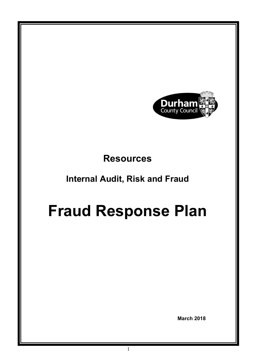

# **Resources**

# Internal Audit, Risk and Fraud

# Fraud Response Plan

March 2018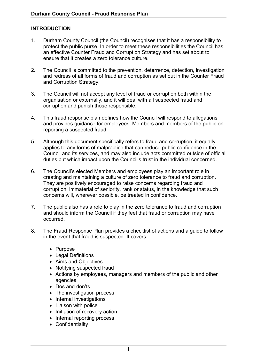## INTRODUCTION

- 1. Durham County Council (the Council) recognises that it has a responsibility to protect the public purse. In order to meet these responsibilities the Council has an effective Counter Fraud and Corruption Strategy and has set about to ensure that it creates a zero tolerance culture.
- 2. The Council is committed to the prevention, deterrence, detection, investigation and redress of all forms of fraud and corruption as set out in the Counter Fraud and Corruption Strategy.
- 3. The Council will not accept any level of fraud or corruption both within the organisation or externally, and it will deal with all suspected fraud and corruption and punish those responsible.
- 4. This fraud response plan defines how the Council will respond to allegations and provides guidance for employees, Members and members of the public on reporting a suspected fraud.
- 5. Although this document specifically refers to fraud and corruption, it equally applies to any forms of malpractice that can reduce public confidence in the Council and its services, and may also include acts committed outside of official duties but which impact upon the Council's trust in the individual concerned.
- creating and maintaining a culture of zero tolerance to fraud and corruption. They are positively encouraged to raise concerns regarding fraud and corruption, immaterial of seniority, rank or status, in the knowledge that such concerns will, wherever possible, be treated in confidence. 6. The Council's elected Members and employees play an important role in
- 7. The public also has a role to play in the zero tolerance to fraud and corruption and should inform the Council if they feel that fraud or corruption may have occurred.
- 8. The Fraud Response Plan provides a checklist of actions and a guide to follow in the event that fraud is suspected. It covers:
	- Purpose
	- Legal Definitions
	- Aims and Objectives
	- Notifving suspected fraud
	- Actions by employees, managers and members of the public and other agencies
	- Dos and don'ts
	- The investigation process
	- Internal investigations
	- Liaison with police
	- Initiation of recovery action
	- Internal reporting process
	- Confidentiality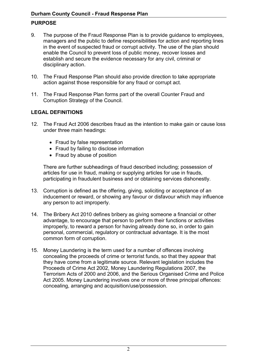# PURPOSE

- 9. managers and the public to define responsibilities for action and reporting lines in the event of suspected fraud or corrupt activity. The use of the plan should enable the Council to prevent loss of public money, recover losses and establish and secure the evidence necessary for any civil, criminal or disciplinary action. The purpose of the Fraud Response Plan is to provide guidance to employees,
- 10. The Fraud Response Plan should also provide direction to take appropriate action against those responsible for any fraud or corrupt act.
- $11.$  Corruption Strategy of the Council. The Fraud Response Plan forms part of the overall Counter Fraud and

# LEGAL DEFINITIONS

- 12. The Fraud Act 2006 describes fraud as the intention to make gain or cause loss under three main headings:
	- Fraud by false representation
	- Fraud by failing to disclose information
	- Fraud by abuse of position

 There are further subheadings of fraud described including; possession of articles for use in fraud, making or supplying articles for use in frauds, participating in fraudulent business and or obtaining services dishonestly.

- 13. Corruption is defined as the offering, giving, soliciting or acceptance of an inducement or reward, or showing any favour or disfavour which may influence any person to act improperly.
- 14. The Bribery Act 2010 defines bribery as giving someone a financial or other advantage, to encourage that person to perform their functions or activities improperly, to reward a person for having already done so, in order to gain personal, commercial, regulatory or contractual advantage. It is the most common form of corruption.
- 15. Money Laundering is the term used for a number of offences involving concealing the proceeds of crime or terrorist funds, so that they appear that they have come from a legitimate source. Relevant legislation includes the Proceeds of Crime Act 2002, Money Laundering Regulations 2007, the Terrorism Acts of 2000 and 2006, and the Serious Organised Crime and Police Act 2005. Money Laundering involves one or more of three principal offences: concealing, arranging and acquisition/use/possession.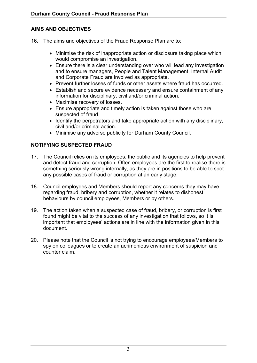# AIMS AND OBJECTIVES

- 16. The aims and objectives of the Fraud Response Plan are to:
	- Minimise the risk of inappropriate action or disclosure taking place which would compromise an investigation.
	- Ensure there is a clear understanding over who will lead any investigation and to ensure managers, People and Talent Management, Internal Audit and Corporate Fraud are involved as appropriate.
	- Prevent further losses of funds or other assets where fraud has occurred.
	- Establish and secure evidence necessary and ensure containment of any information for disciplinary, civil and/or criminal action.
	- Maximise recovery of losses.
	- Ensure appropriate and timely action is taken against those who are suspected of fraud.
	- Identify the perpetrators and take appropriate action with any disciplinary, civil and/or criminal action.
	- Minimise any adverse publicity for Durham County Council.

# NOTIFYING SUSPECTED FRAUD

- 17. The Council relies on its employees, the public and its agencies to help prevent and detect fraud and corruption. Often employees are the first to realise there is something seriously wrong internally, as they are in positions to be able to spot any possible cases of fraud or corruption at an early stage.
- 18. Council employees and Members should report any concerns they may have regarding fraud, bribery and corruption, whether it relates to dishonest behaviours by council employees, Members or by others.
- 19. The action taken when a suspected case of fraud, bribery, or corruption is first found might be vital to the success of any investigation that follows, so it is important that employees' actions are in line with the information given in this document.
- 20. Please note that the Council is not trying to encourage employees/Members to spy on colleagues or to create an acrimonious environment of suspicion and counter claim.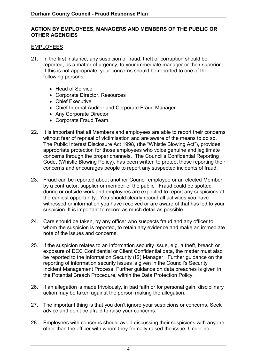#### ACTION BY EMPLOYEES, MANAGERS AND MEMBERS OF THE PUBLIC OR OTHER AGENCIES

#### EMPLOYEES

- 21. In the first instance, any suspicion of fraud, theft or corruption should be reported, as a matter of urgency, to your immediate manager or their superior. If this is not appropriate, your concerns should be reported to one of the following persons:
	- Head of Service
	- Corporate Director, Resources
	- Chief Executive
	- Chief Internal Auditor and Corporate Fraud Manager
	- Any Corporate Director
	- Corporate Fraud Team.
- $22.$  without fear of reprisal of victimisation and are aware of the means to do so. The Public Interest Disclosure Act 1998, (the "Whistle Blowing Act"), provides appropriate protection for those employees who voice genuine and legitimate concerns through the proper channels. The Council's Confidential Reporting Code, (Whistle Blowing Policy), has been written to protect those reporting their concerns and encourages people to report any suspected incidents of fraud. It is important that all Members and employees are able to report their concerns
- 23. Fraud can be reported about another Council employee or an elected Member by a contractor, supplier or member of the public. Fraud could be spotted during or outside work and employees are expected to report any suspicions at the earliest opportunity. You should clearly record all activities you have witnessed or information you have received or are aware of that has led to your suspicion. It is important to record as much detail as possible.
- $24.$  whom the suspicion is reported, to retain any evidence and make an immediate note of the issues and concerns. Care should be taken, by any officer who suspects fraud and any officer to
- 25. If the suspicion relates to an information security issue, e.g. a theft, breach or exposure of DCC Confidential or Client Confidential data, the matter must also be reported to the Information Security (IS) Manager. Further guidance on the reporting of information security issues is given in the Council's Security Incident Management Process. Further guidance on data breaches is given in the Potential Breach Procedure, within the Data Protection Policy.
- $26.$  action may be taken against the person making the allegation. If an allegation is made frivolously, in bad faith or for personal gain, disciplinary
- 27. The important thing is that you don't ignore your suspicions or concerns. Seek advice and don't be afraid to raise your concerns.
- 28. Employees with concerns should avoid discussing their suspicions with anyone other than the officer with whom they formally raised the issue. Under no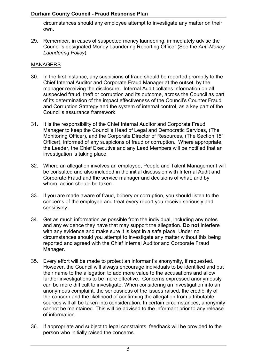circumstances should any employee attempt to investigate any matter on their own.

 29. Remember, in cases of suspected money laundering, immediately advise the Council's designated Money Laundering Reporting Officer (See the Anti-Money Laundering Policy).

#### MANAGERS

- 30. In the first instance, any suspicions of fraud should be reported promptly to the Chief Internal Auditor and Corporate Fraud Manager at the outset, by the manager receiving the disclosure. Internal Audit collates information on all suspected fraud, theft or corruption and its outcome, across the Council as part of its determination of the impact effectiveness of the Council's Counter Fraud and Corruption Strategy and the system of internal control, as a key part of the Council's assurance framework.
- $31.$  Manager to keep the Council's Head of Legal and Democratic Services, (The Monitoring Officer), and the Corporate Director of Resources, (The Section 151 Officer), informed of any suspicions of fraud or corruption. Where appropriate, the Leader, the Chief Executive and any Lead Members will be notified that an investigation is taking place. It is the responsibility of the Chief Internal Auditor and Corporate Fraud
- 32. Where an allegation involves an employee, People and Talent Management will be consulted and also included in the initial discussion with Internal Audit and Corporate Fraud and the service manager and decisions of what, and by whom, action should be taken.
- 33. If you are made aware of fraud, bribery or corruption, you should listen to the concerns of the employee and treat every report you receive seriously and sensitively.
- 34. Get as much information as possible from the individual, including any notes and any evidence they have that may support the allegation. Do not interfere with any evidence and make sure it is kept in a safe place. Under no circumstances should you attempt to investigate any matter without this being reported and agreed with the Chief Internal Auditor and Corporate Fraud Manager.
- 35. Every effort will be made to protect an informant's anonymity, if requested. However, the Council will always encourage individuals to be identified and put their name to the allegation to add more value to the accusations and allow further investigations to be more effective. Concerns expressed anonymously can be more difficult to investigate. When considering an investigation into an anonymous complaint, the seriousness of the issues raised, the credibility of the concern and the likelihood of confirming the allegation from attributable sources will all be taken into consideration. In certain circumstances, anonymity cannot be maintained. This will be advised to the informant prior to any release of information.
- $36.$  person who initially raised the concerns. If appropriate and subject to legal constraints, feedback will be provided to the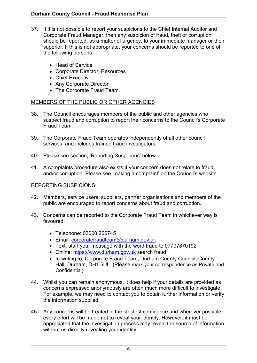- $37<sub>1</sub>$  Corporate Fraud Manager, then any suspicion of fraud, theft or corruption should be reported, as a matter of urgency, to your immediate manager or their superior. If this is not appropriate, your concerns should be reported to one of the following persons: If it is not possible to report your suspicions to the Chief Internal Auditor and
	- Head of Service
	- Corporate Director, Resources
	- Chief Executive
	- Any Corporate Director
	- The Corporate Fraud Team.

#### MEMBERS OF THE PUBLIC OR OTHER AGENCIES

- 38. The Council encourages members of the public and other agencies who suspect fraud and corruption to report their concerns to the Council's Corporate Fraud Team.
- 39. services, and includes trained fraud investigators. The Corporate Fraud Team operates independently of all other council
- 40. Please see section, 'Reporting Suspicions' below.
- 41. A complaints procedure also exists if your concern does not relate to fraud and/or corruption. Please see 'making a complaint' on the Council's website.

## REPORTING SUSPICIONS:

- 42. Members, service users, suppliers, partner organisations and members of the public are encouraged to report concerns about fraud and corruption.
- 43. Concerns can be reported to the Corporate Fraud Team in whichever way is favoured:
	- Telephone: 03000 266745
	- Email: corporatefraudteam@durham.gov.uk
	- Text: start your message with the word fraud to 07797870192
	- Online: <https://www.durham.gov.uk> search fraud
	- In writing to: Corporate Fraud Team, Durham County Council, County Hall, Durham, DH1 5UL. (Please mark your correspondence as Private and Confidential).
- 44. Whilst you can remain anonymous, it does help if your details are provided as concerns expressed anonymously are often much more difficult to investigate. For example, we may need to contact you to obtain further information or verify the information supplied.
- 45. Any concerns will be treated in the strictest confidence and wherever possible, every effort will be made not to reveal your identity. However, it must be appreciated that the investigation process may reveal the source of information without us directly revealing your identity.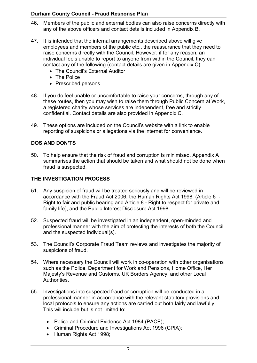- 46. Members of the public and external bodies can also raise concerns directly with any of the above officers and contact details included in Appendix B.
- 47. employees and members of the public etc., the reassurance that they need to raise concerns directly with the Council. However, if for any reason, an individual feels unable to report to anyone from within the Council, they can contact any of the following (contact details are given in Appendix C): It is intended that the internal arrangements described above will give
	- The Council's External Auditor
	- The Police
	- Prescribed persons
- 48. If you do feel unable or uncomfortable to raise your concerns, through any of these routes, then you may wish to raise them through Public Concern at Work, a registered charity whose services are independent, free and strictly confidential. Contact details are also provided in Appendix C.
- 49. These options are included on the Council's website with a link to enable reporting of suspicions or allegations via the internet for convenience.

## DOS AND DON'TS

 50. To help ensure that the risk of fraud and corruption is minimised, Appendix A summarises the action that should be taken and what should not be done when fraud is suspected.

#### THE INVESTIGATION PROCESS

- 51. Any suspicion of fraud will be treated seriously and will be reviewed in accordance with the Fraud Act 2006, the Human Rights Act 1998, (Article 6 - Right to fair and public hearing and Article 8 - Right to respect for private and family life), and the Public Interest Disclosure Act 1998.
- 52. Suspected fraud will be investigated in an independent, open-minded and professional manner with the aim of protecting the interests of both the Council and the suspected individual(s).
- 53. The Council's Corporate Fraud Team reviews and investigates the majority of suspicions of fraud.
- 54. Where necessary the Council will work in co-operation with other organisations such as the Police, Department for Work and Pensions, Home Office, Her Majesty's Revenue and Customs, UK Borders Agency, and other Local Authorities.
- 55. Investigations into suspected fraud or corruption will be conducted in a professional manner in accordance with the relevant statutory provisions and local protocols to ensure any actions are carried out both fairly and lawfully. This will include but is not limited to:
	- Police and Criminal Evidence Act 1984 (PACE);
	- Criminal Procedure and Investigations Act 1996 (CPIA);
	- Human Rights Act 1998;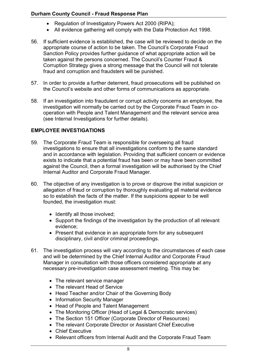- Regulation of Investigatory Powers Act 2000 (RIPA);
- All evidence gathering will comply with the Data Protection Act 1998.
- 56. If sufficient evidence is established, the case will be reviewed to decide on the appropriate course of action to be taken. The Council's Corporate Fraud Sanction Policy provides further guidance of what appropriate action will be taken against the persons concerned. The Council's Counter Fraud & Corruption Strategy gives a strong message that the Council will not tolerate fraud and corruption and fraudsters will be punished.
- 57. In order to provide a further deterrent, fraud prosecutions will be published on the Council's website and other forms of communications as appropriate.
- 58. If an investigation into fraudulent or corrupt activity concerns an employee, the investigation will normally be carried out by the Corporate Fraud Team in co- operation with People and Talent Management and the relevant service area (see Internal Investigations for further details).

## EMPLOYEE INVESTIGATIONS

- 59. investigations to ensure that all investigations conform to the same standard and in accordance with legislation. Providing that sufficient concern or evidence exists to indicate that a potential fraud has been or may have been committed against the Council, then a formal investigation will be authorised by the Chief Internal Auditor and Corporate Fraud Manager. The Corporate Fraud Team is responsible for overseeing all fraud
- 60. allegation of fraud or corruption by thoroughly evaluating all material evidence so to establish the facts of the matter. If the suspicions appear to be well founded, the investigation must: The objective of any investigation is to prove or disprove the initial suspicion or
	- Identify all those involved;
	- Support the findings of the investigation by the production of all relevant evidence;
	- Present that evidence in an appropriate form for any subsequent disciplinary, civil and/or criminal proceedings.
- 61. The investigation process will vary according to the circumstances of each case and will be determined by the Chief Internal Auditor and Corporate Fraud Manager in consultation with those officers considered appropriate at any necessary pre-investigation case assessment meeting. This may be:
	- The relevant service manager
	- The relevant Head of Service
	- Head Teacher and/or Chair of the Governing Body
	- Information Security Manager
	- Head of People and Talent Management
	- The Monitoring Officer (Head of Legal & Democratic services)
	- The Section 151 Officer (Corporate Director of Resources)
	- The relevant Corporate Director or Assistant Chief Executive
	- Chief Executive
	- Relevant officers from Internal Audit and the Corporate Fraud Team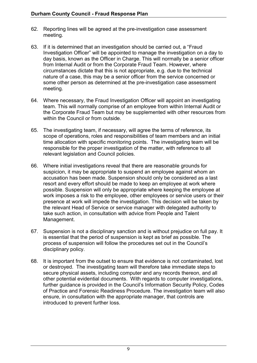- 62. Reporting lines will be agreed at the pre-investigation case assessment meeting.
- 63. Investigation Officer" will be appointed to manage the investigation on a day to day basis, known as the Officer in Charge. This will normally be a senior officer from Internal Audit or from the Corporate Fraud Team. However, where circumstances dictate that this is not appropriate, e.g. due to the technical nature of a case, this may be a senior officer from the service concerned or some other person as determined at the pre-investigation case assessment If it is determined that an investigation should be carried out, a "Fraud meeting.
- 64. Where necessary, the Fraud Investigation Officer will appoint an investigating team. This will normally comprise of an employee from within Internal Audit or the Corporate Fraud Team but may be supplemented with other resources from within the Council or from outside.
- 65. The investigating team, if necessary, will agree the terms of reference, its scope of operations, roles and responsibilities of team members and an initial time allocation with specific monitoring points. The investigating team will be responsible for the proper investigation of the matter, with reference to all relevant legislation and Council policies.
- 66. suspicion, it may be appropriate to suspend an employee against whom an accusation has been made. Suspension should only be considered as a last resort and every effort should be made to keep an employee at work where possible. Suspension will only be appropriate where keeping the employee at work imposes a risk to the employee, other employees or service users or their presence at work will impede the investigation. This decision will be taken by the relevant Head of Service or service manager with delegated authority to take such action, in consultation with advice from People and Talent Management. 66. Where initial investigations reveal that there are reasonable grounds for
- 67. Suspension is not a disciplinary sanction and is without prejudice on full pay. It is essential that the period of suspension is kept as brief as possible. The process of suspension will follow the procedures set out in the Council's disciplinary policy.
- 68. or destroyed. The investigating team will therefore take immediate steps to secure physical assets, including computer and any records thereon, and all other potential evidential documents. With regards to computer investigations, further guidance is provided in the Council's Information Security Policy, Codes of Practice and Forensic Readiness Procedure. The investigation team will also ensure, in consultation with the appropriate manager, that controls are introduced to prevent further loss. It is important from the outset to ensure that evidence is not contaminated, lost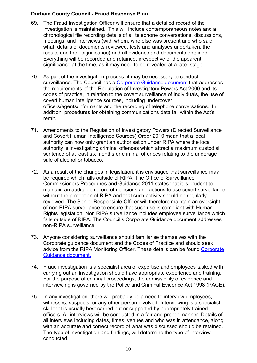- 69. The Fraud Investigation Officer will ensure that a detailed record of the investigation is maintained. This will include contemporaneous notes and a chronological file recording details of all telephone conversations, discussions, meetings, and interviews (with whom, who else was present and who said what, details of documents reviewed, tests and analyses undertaken, the results and their significance) and all evidence and documents obtained. Everything will be recorded and retained, irrespective of the apparent significance at the time, as it may need to be revealed at a later stage.
- 70. As part of the investigation process, it may be necessary to conduct surveillance. The Council has a <u>Corporate Guidance document</u> that addresses the requirements of the Regulation of Investigatory Powers Act 2000 and its codes of practice, in relation to the covert surveillance of individuals, the use of covert human intelligence sources, including undercover officers/agents/informants and the recording of telephone conversations. In addition, procedures for obtaining communications data fall within the Act's remit.
- 71. Amendments to the Regulation of Investigatory Powers (Directed Surveillance and Covert Human Intelligence Sources) Order 2010 mean that a local authority can now only grant an authorisation under RIPA where the local authority is investigating criminal offences which attract a maximum custodial sentence of at least six months or criminal offences relating to the underage sale of alcohol or tobacco.
- 72. As a result of the changes in legislation, it is envisaged that surveillance may be required which falls outside of RIPA. The Office of Surveillance Commissioners Procedures and Guidance 2011 states that it is prudent to maintain an auditable record of decisions and actions to use covert surveillance without the protection of RIPA and that such activity should be regularly reviewed. The Senior Responsible Officer will therefore maintain an oversight of non RIPA surveillance to ensure that such use is compliant with Human Rights legislation. Non RIPA surveillance includes employee surveillance which falls outside of RIPA. The Council's Corporate Guidance document addresses non-RIPA surveillance.
- 73. Anyone considering surveillance should familiarise themselves with the Corporate guidance document and the Codes of Practice and should seek advice from the RIPA Monitoring Officer. These details can be found Corporate Guidance document.
- 74. Fraud investigation is a specialist area of expertise and employees tasked with carrying out an investigation should have appropriate experience and training. For the purpose of criminal proceedings, the admissibility of evidence and interviewing is governed by the Police and Criminal Evidence Act 1998 (PACE).
- 75. witnesses, suspects, or any other person involved. Interviewing is a specialist skill that is usually best carried out or supported by appropriately trained officers. All interviews will be conducted in a fair and proper manner. Details of all interviews including dates, times, venues and who was in attendance, along with an accurate and correct record of what was discussed should be retained. The type of investigation and findings, will determine the type of interview In any investigation, there will probably be a need to interview employees, conducted.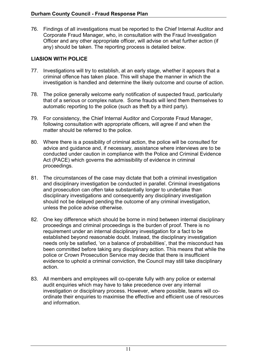76. Corporate Fraud Manager, who, in consultation with the Fraud Investigation Officer and any other appropriate officer, will advise on what further action (if any) should be taken. The reporting process is detailed below. 76. Findings of all investigations must be reported to the Chief Internal Auditor and

# LIASION WITH POLICE

- 77. Investigations will try to establish, at an early stage, whether it appears that a criminal offence has taken place. This will shape the manner in which the investigation is handled and determine the likely outcome and course of action.
- 78. that of a serious or complex nature. Some frauds will lend them themselves to automatic reporting to the police (such as theft by a third party). The police generally welcome early notification of suspected fraud, particularly
- 79. For consistency, the Chief Internal Auditor and Corporate Fraud Manager, following consultation with appropriate officers, will agree if and when the matter should be referred to the police.
- 80. Where there is a possibility of criminal action, the police will be consulted for advice and guidance and, if necessary, assistance where interviews are to be conducted under caution in compliance with the Police and Criminal Evidence Act (PACE) which governs the admissibility of evidence in criminal proceedings.
- 81. The circumstances of the case may dictate that both a criminal investigation and disciplinary investigation be conducted in parallel. Criminal investigations and prosecution can often take substantially longer to undertake than disciplinary investigations and consequently any disciplinary investigation should not be delayed pending the outcome of any criminal investigation, unless the police advise otherwise.
- 82. proceedings and criminal proceedings is the burden of proof. There is no requirement under an internal disciplinary investigation for a fact to be established beyond reasonable doubt. Instead, the disciplinary investigation needs only be satisfied, 'on a balance of probabilities', that the misconduct has been committed before taking any disciplinary action. This means that while the police or Crown Prosecution Service may decide that there is insufficient evidence to uphold a criminal conviction, the Council may still take disciplinary One key difference which should be borne in mind between internal disciplinary action.
- 83. All members and employees will co-operate fully with any police or external audit enquiries which may have to take precedence over any internal investigation or disciplinary process. However, where possible, teams will co- ordinate their enquiries to maximise the effective and efficient use of resources and information.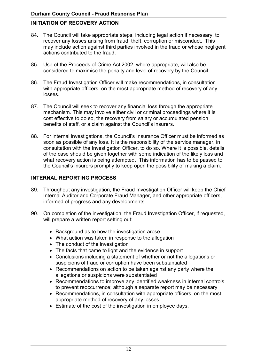# INITIATION OF RECOVERY ACTION

- 84. The Council will take appropriate steps, including legal action if necessary, to recover any losses arising from fraud, theft, corruption or misconduct. This may include action against third parties involved in the fraud or whose negligent actions contributed to the fraud.
- 85. Use of the Proceeds of Crime Act 2002, where appropriate, will also be considered to maximise the penalty and level of recovery by the Council.
- with appropriate officers, on the most appropriate method of recovery of any 86. The Fraud Investigation Officer will make recommendations, in consultation losses.
- mechanism. This may involve either civil or criminal proceedings where it is cost effective to do so, the recovery from salary or accumulated pension benefits of staff, or a claim against the Council's insurers. 87. The Council will seek to recover any financial loss through the appropriate
- 88. For internal investigations, the Council's Insurance Officer must be informed as soon as possible of any loss. It is the responsibility of the service manager, in consultation with the Investigation Officer, to do so. Where it is possible, details of the case should be given together with some indication of the likely loss and what recovery action is being attempted. This information has to be passed to the Council's insurers promptly to keep open the possibility of making a claim.

#### INTERNAL REPORTING PROCESS

- 89. Throughout any investigation, the Fraud Investigation Officer will keep the Chief informed of progress and any developments. Internal Auditor and Corporate Fraud Manager, and other appropriate officers,
- 90. On completion of the investigation, the Fraud Investigation Officer, if requested, will prepare a written report setting out:
	- Background as to how the investigation arose
	- What action was taken in response to the allegation
	- The conduct of the investigation
	- The facts that came to light and the evidence in support
	- Conclusions including a statement of whether or not the allegations or suspicions of fraud or corruption have been substantiated
	- Recommendations on action to be taken against any party where the allegations or suspicions were substantiated
	- Recommendations to improve any identified weakness in internal controls to prevent reoccurrence; although a separate report may be necessary
	- Recommendations, in consultation with appropriate officers, on the most appropriate method of recovery of any losses
	- Estimate of the cost of the investigation in employee days.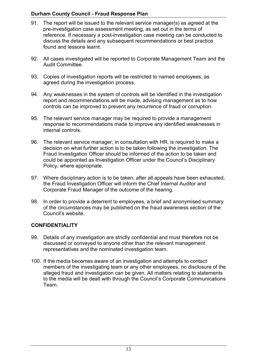- 91. The report will be issued to the relevant service manager(s) as agreed at the pre-investigation case assessment meeting, as set out in the terms of reference. If necessary a post-investigation case meeting can be conducted to discuss the details and any subsequent recommendations or best practice found and lessons learnt.
- 92. All cases investigated will be reported to Corporate Management Team and the Audit Committee.
- agreed during the investigation process. 93. Copies of investigation reports will be restricted to named employees, as
- 94. Any weaknesses in the system of controls will be identified in the investigation report and recommendations will be made, advising management as to how controls can be improved to prevent any recurrence of fraud or corruption.
- 95. The relevant service manager may be required to provide a management response to recommendations made to improve any identified weaknesses in internal controls.
- 96. The relevant service manager, in consultation with HR, is required to make a Fraud Investigation Officer should be informed of the action to be taken and decision on what further action is to be taken following the investigation. The could be appointed as Investigation Officer under the Council's Disciplinary Policy, where appropriate.
- 97. Where disciplinary action is to be taken, after all appeals have been exhausted, the Fraud Investigation Officer will inform the Chief Internal Auditor and Corporate Fraud Manager of the outcome of the hearing.
- 98. In order to provide a deterrent to employees, a brief and anonymised summary of the circumstances may be published on the fraud awareness section of the Council's website.

## **CONFIDENTIALITY**

- discussed or conveyed to anyone other than the relevant management 99. Details of any investigation are strictly confidential and must therefore not be representatives and the nominated investigation team.
- 100. If the media becomes aware of an investigation and attempts to contact alleged fraud and investigation can be given. All matters relating to statements members of the investigating team or any other employees, no disclosure of the to the media will be dealt with through the Council's Corporate Communications Team.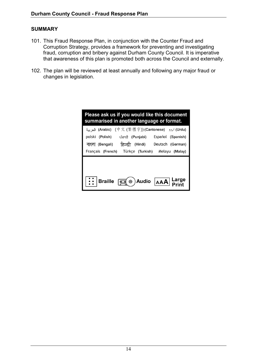#### SUMMARY

- 101. This Fraud Response Plan, in conjunction with the Counter Fraud and fraud, corruption and bribery against Durham County Council. It is imperative that awareness of this plan is promoted both across the Council and externally. Corruption Strategy, provides a framework for preventing and investigating
- 102. The plan will be reviewed at least annually and following any major fraud or changes in legislation.

| Please ask us if you would like this document<br>summarised in another language or format. |  |  |
|--------------------------------------------------------------------------------------------|--|--|
| العربية (Arabic) (中文 (繁體字)) (Cantonese) اروو (Arabic)                                      |  |  |
| polski (Polish) ਪੰਜਾਬੀ (Punjabi) Español (Spanish)                                         |  |  |
| বাংলা (Bengali) हिन्दी (Hindi) Deutsch (German)                                            |  |  |
| Français (French) Türkçe (Turkish) Melayu (Malay)                                          |  |  |
|                                                                                            |  |  |
|                                                                                            |  |  |
| $\mathbf{C}(\mathbf{C})$ Audio $\mathbf{A}$ AA $\mathbf{L}$ arge<br>Braille                |  |  |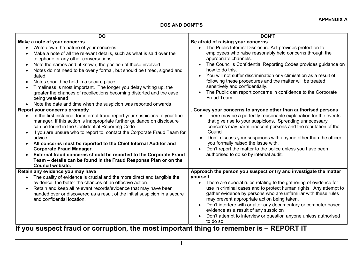#### DOS AND DON'T'S

| <b>DO</b>                                                                                                                                                                                                                                                                                                                                                                                                                                                                                                                                                                                                                                                | <b>DON'T</b>                                                                                                                                                                                                                                                                                                                                                                                                                                                                                                                            |
|----------------------------------------------------------------------------------------------------------------------------------------------------------------------------------------------------------------------------------------------------------------------------------------------------------------------------------------------------------------------------------------------------------------------------------------------------------------------------------------------------------------------------------------------------------------------------------------------------------------------------------------------------------|-----------------------------------------------------------------------------------------------------------------------------------------------------------------------------------------------------------------------------------------------------------------------------------------------------------------------------------------------------------------------------------------------------------------------------------------------------------------------------------------------------------------------------------------|
| Make a note of your concerns                                                                                                                                                                                                                                                                                                                                                                                                                                                                                                                                                                                                                             | Be afraid of raising your concerns                                                                                                                                                                                                                                                                                                                                                                                                                                                                                                      |
| Write down the nature of your concerns<br>$\bullet$<br>Make a note of all the relevant details, such as what is said over the<br>telephone or any other conversations<br>Note the names and, if known, the position of those involved<br>$\bullet$<br>Notes do not need to be overly formal, but should be timed, signed and<br>$\bullet$<br>dated<br>Notes should be held in a secure place<br>$\bullet$<br>Timeliness is most important. The longer you delay writing up, the<br>$\bullet$<br>greater the chances of recollections becoming distorted and the case<br>being weakened<br>Note the date and time when the suspicion was reported onwards | The Public Interest Disclosure Act provides protection to<br>employees who raise reasonably held concerns through the<br>appropriate channels.<br>The Council's Confidential Reporting Codes provides guidance on<br>$\bullet$<br>how to do this.<br>You will not suffer discrimination or victimisation as a result of<br>following these procedures and the matter will be treated<br>sensitively and confidentially.<br>The Public can report concerns in confidence to the Corporate<br>Fraud Team.                                 |
| <b>Report your concerns promptly</b>                                                                                                                                                                                                                                                                                                                                                                                                                                                                                                                                                                                                                     | . Convey your concerns to anyone other than authorised persons                                                                                                                                                                                                                                                                                                                                                                                                                                                                          |
| In the first instance, for internal fraud report your suspicions to your line<br>manager. If this action is inappropriate further guidance on disclosure<br>can be found in the Confidential Reporting Code.<br>If you are unsure who to report to, contact the Corporate Fraud Team for<br>$\bullet$<br>advice.<br>All concerns must be reported to the Chief Internal Auditor and<br>$\bullet$<br><b>Corporate Fraud Manager.</b><br>External fraud concerns should be reported to the Corporate Fraud<br>Team - details can be found in the Fraud Response Plan or on the<br><b>Council website.</b>                                                  | There may be a perfectly reasonable explanation for the events<br>that give rise to your suspicions. Spreading unnecessary<br>concerns may harm innocent persons and the reputation of the<br>Council.<br>Don't discuss your suspicions with anyone other than the officer<br>you formally raised the issue with.<br>Don't report the matter to the police unless you have been<br>authorised to do so by internal audit.                                                                                                               |
| Retain any evidence you may have<br>The quality of evidence is crucial and the more direct and tangible the<br>$\bullet$                                                                                                                                                                                                                                                                                                                                                                                                                                                                                                                                 | Approach the person you suspect or try and investigate the matter<br>yourself                                                                                                                                                                                                                                                                                                                                                                                                                                                           |
| evidence, the better the chances of an effective action.<br>Retain and keep all relevant records/evidence that may have been<br>handed over or discovered as a result of the initial suspicion in a secure<br>and confidential location.<br>$\mathbf{r}$ . The set of $\mathbf{r}$<br><b>ALL</b><br>. .<br>. .                                                                                                                                                                                                                                                                                                                                           | There are special rules relating to the gathering of evidence for<br>$\bullet$<br>use in criminal cases and to protect human rights. Any attempt to<br>gather evidence by persons who are unfamiliar with these rules<br>may prevent appropriate action being taken.<br>Don't interfere with or alter any documentary or computer based<br>$\bullet$<br>evidence as a result of any suspicion<br>Don't attempt to interview or question anyone unless authorised<br>to do so.<br>化二硫酸盐 医心脏<br><b>Security Construction</b><br>BEBABT IT |

If you suspect fraud or corruption, the most important thing to remember is – REPORT IT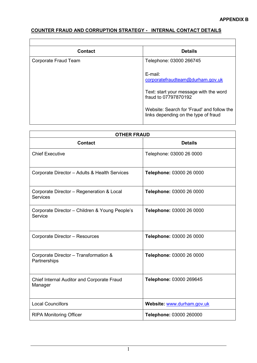$\overline{\phantom{a}}$ 

# COUNTER FRAUD AND CORRUPTION STRATEGY - INTERNAL CONTACT DETAILS

 $\overline{\phantom{a}}$ 

| <b>Contact</b>       | <b>Details</b>                                                                                                                                                                                         |  |
|----------------------|--------------------------------------------------------------------------------------------------------------------------------------------------------------------------------------------------------|--|
| Corporate Fraud Team | Telephone: 03000 266745                                                                                                                                                                                |  |
|                      | $E$ -mail:<br>corporatefraudteam@durham.gov.uk<br>Text: start your message with the word<br>fraud to 07797870192<br>Website: Search for 'Fraud' and follow the<br>links depending on the type of fraud |  |

| <b>OTHER FRAUD</b>                                           |                            |  |
|--------------------------------------------------------------|----------------------------|--|
| <b>Contact</b>                                               | <b>Details</b>             |  |
| <b>Chief Executive</b>                                       | Telephone: 03000 26 0000   |  |
| Corporate Director - Adults & Health Services                | Telephone: 03000 26 0000   |  |
| Corporate Director - Regeneration & Local<br><b>Services</b> | Telephone: 03000 26 0000   |  |
| Corporate Director - Children & Young People's<br>Service    | Telephone: 03000 26 0000   |  |
| Corporate Director - Resources                               | Telephone: 03000 26 0000   |  |
| Corporate Director - Transformation &<br>Partnerships        | Telephone: 03000 26 0000   |  |
| Chief Internal Auditor and Corporate Fraud<br>Manager        | Telephone: 03000 269645    |  |
| <b>Local Councillors</b>                                     | Website: www.durham.gov.uk |  |
| <b>RIPA Monitoring Officer</b>                               | Telephone: 03000 260000    |  |